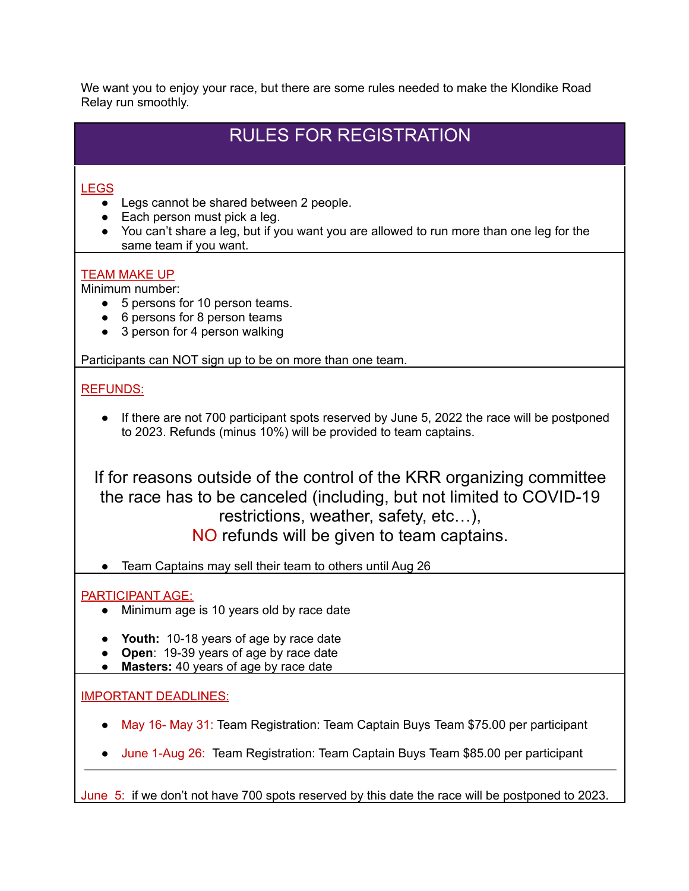We want you to enjoy your race, but there are some rules needed to make the Klondike Road Relay run smoothly.

# RULES FOR REGISTRATION

# LEGS

- Legs cannot be shared between 2 people.
- $\bullet$  Each person must pick a leg.
- You can't share a leg, but if you want you are allowed to run more than one leg for the same team if you want.

# TEAM MAKE UP

Minimum number:

- 5 persons for 10 person teams.
- 6 persons for 8 person teams
- 3 person for 4 person walking

Participants can NOT sign up to be on more than one team.

# REFUNDS:

• If there are not 700 participant spots reserved by June 5, 2022 the race will be postponed to 2023. Refunds (minus 10%) will be provided to team captains.

If for reasons outside of the control of the KRR organizing committee the race has to be canceled (including, but not limited to COVID-19 restrictions, weather, safety, etc…), NO refunds will be given to team captains.

● Team Captains may sell their team to others until Aug 26

#### PARTICIPANT AGE:

- Minimum age is 10 years old by race date
- **Youth:** 10-18 years of age by race date
- **Open**: 19-39 years of age by race date
- **Masters:** 40 years of age by race date

# IMPORTANT DEADLINES:

- May 16- May 31: Team Registration: Team Captain Buys Team \$75.00 per participant
- June 1-Aug 26: Team Registration: Team Captain Buys Team \$85.00 per participant

June 5: if we don't not have 700 spots reserved by this date the race will be postponed to 2023.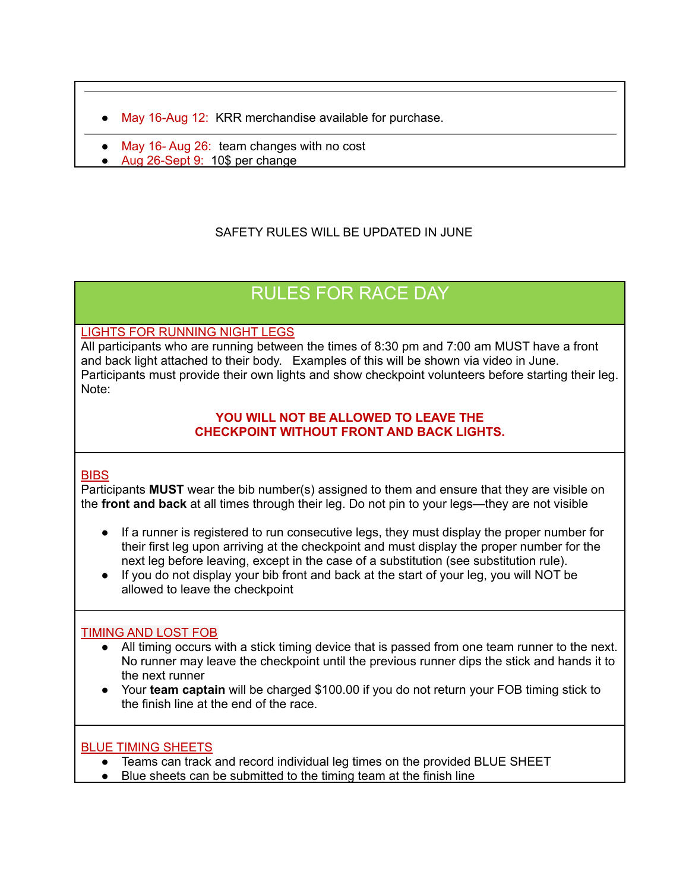- May 16-Aug 12: KRR merchandise available for purchase.
- May 16- Aug 26: team changes with no cost
- Aug 26-Sept 9: 10\$ per change

# SAFFTY RULES WILL BE UPDATED IN JUNE

# RULES FOR RACE DAY

#### LIGHTS FOR RUNNING NIGHT LEGS

All participants who are running between the times of 8:30 pm and 7:00 am MUST have a front and back light attached to their body. Examples of this will be shown via video in June. Participants must provide their own lights and show checkpoint volunteers before starting their leg. Note:

#### **YOU WILL NOT BE ALLOWED TO LEAVE THE CHECKPOINT WITHOUT FRONT AND BACK LIGHTS.**

#### **BIBS**

Participants **MUST** wear the bib number(s) assigned to them and ensure that they are visible on the **front and back** at all times through their leg. Do not pin to your legs—they are not visible

- If a runner is registered to run consecutive legs, they must display the proper number for their first leg upon arriving at the checkpoint and must display the proper number for the next leg before leaving, except in the case of a substitution (see substitution rule).
- If you do not display your bib front and back at the start of your leg, you will NOT be allowed to leave the checkpoint

#### TIMING AND LOST FOB

- All timing occurs with a stick timing device that is passed from one team runner to the next. No runner may leave the checkpoint until the previous runner dips the stick and hands it to the next runner
- Your **team captain** will be charged \$100.00 if you do not return your FOB timing stick to the finish line at the end of the race.

#### BLUE TIMING SHEETS

- Teams can track and record individual leg times on the provided BLUE SHEET
- Blue sheets can be submitted to the timing team at the finish line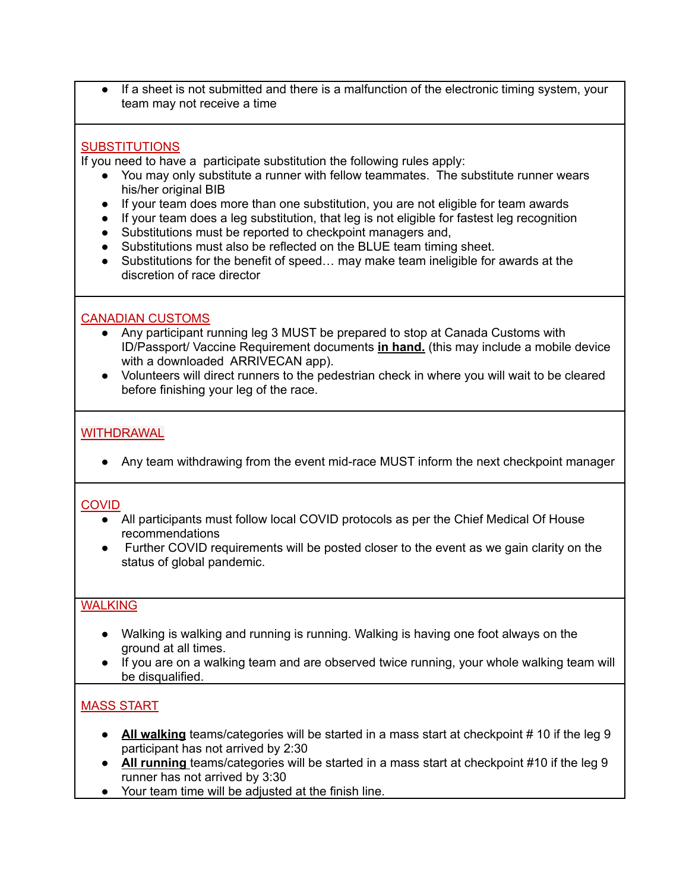● If a sheet is not submitted and there is a malfunction of the electronic timing system, your team may not receive a time

#### **SUBSTITUTIONS**

If you need to have a participate substitution the following rules apply:

- You may only substitute a runner with fellow teammates. The substitute runner wears his/her original BIB
- If your team does more than one substitution, you are not eligible for team awards
- If your team does a leg substitution, that leg is not eligible for fastest leg recognition
- Substitutions must be reported to checkpoint managers and,
- Substitutions must also be reflected on the BLUE team timing sheet.
- Substitutions for the benefit of speed… may make team ineligible for awards at the discretion of race director

#### CANADIAN CUSTOMS

- Any participant running leg 3 MUST be prepared to stop at Canada Customs with ID/Passport/ Vaccine Requirement documents **in hand.** (this may include a mobile device with a downloaded ARRIVECAN app).
- Volunteers will direct runners to the pedestrian check in where you will wait to be cleared before finishing your leg of the race.

#### WITHDRAWAL

• Any team withdrawing from the event mid-race MUST inform the next checkpoint manager

#### **COVID**

- All participants must follow local COVID protocols as per the Chief Medical Of House recommendations
- Further COVID requirements will be posted closer to the event as we gain clarity on the status of global pandemic.

#### **WALKING**

- Walking is walking and running is running. Walking is having one foot always on the ground at all times.
- If you are on a walking team and are observed twice running, your whole walking team will be disqualified.

# MASS START

- All walking teams/categories will be started in a mass start at checkpoint # 10 if the leg 9 participant has not arrived by 2:30
- **All running** teams/categories will be started in a mass start at checkpoint #10 if the leg 9 runner has not arrived by 3:30
- Your team time will be adjusted at the finish line.